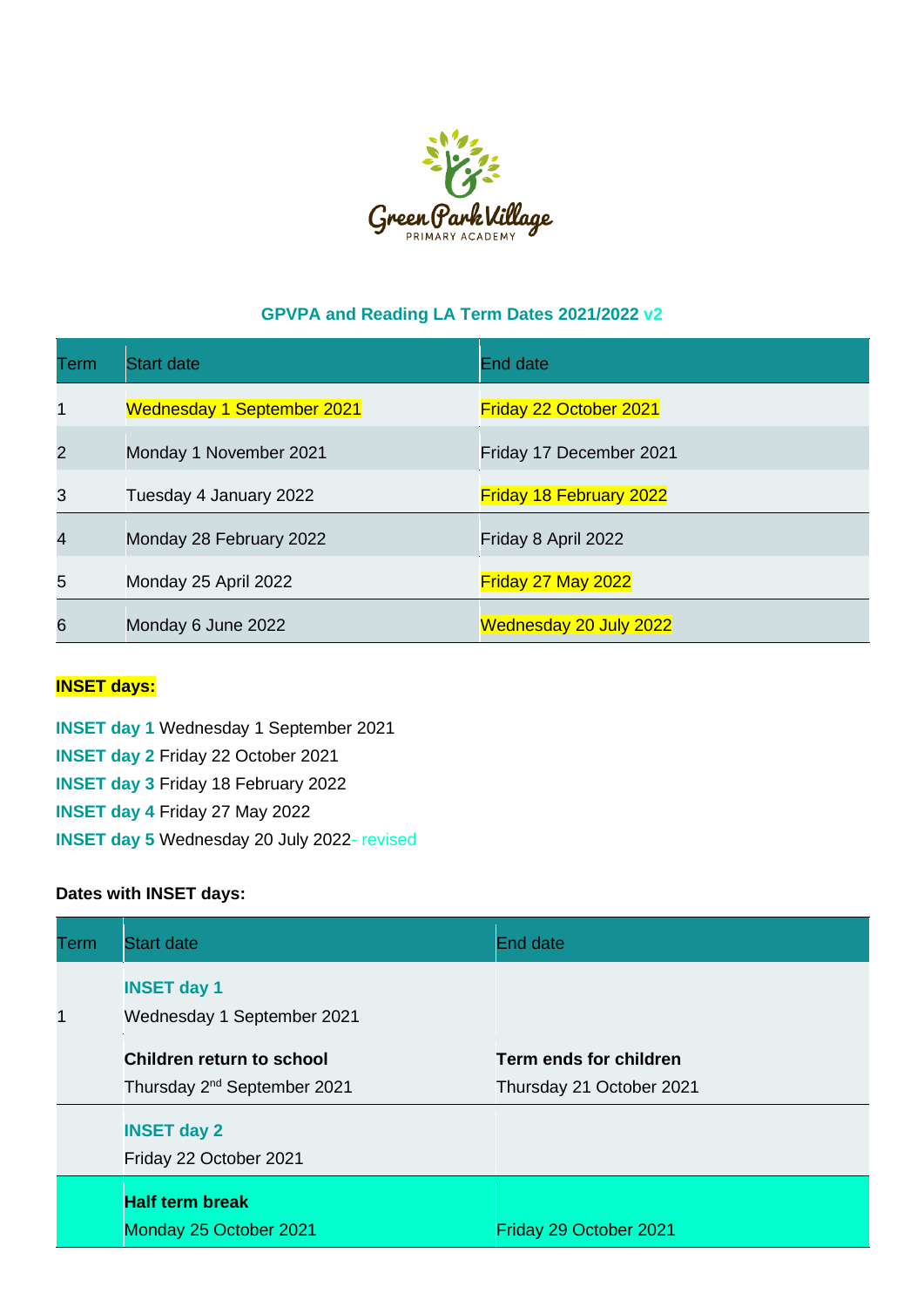

## **GPVPA and Reading LA Term Dates 2021/2022 v2**

| Term           | <b>Start date</b>                 | End date                       |
|----------------|-----------------------------------|--------------------------------|
| 1              | <b>Wednesday 1 September 2021</b> | <b>Friday 22 October 2021</b>  |
| $\overline{2}$ | Monday 1 November 2021            | Friday 17 December 2021        |
| 3              | Tuesday 4 January 2022            | <b>Friday 18 February 2022</b> |
| 4              | Monday 28 February 2022           | Friday 8 April 2022            |
| 5              | Monday 25 April 2022              | Friday 27 May 2022             |
| 6              | Monday 6 June 2022                | <b>Wednesday 20 July 2022</b>  |

## **INSET days:**

**INSET day 1** Wednesday 1 September 2021 **INSET day 2** Friday 22 October 2021 **INSET day 3** Friday 18 February 2022 **INSET day 4** Friday 27 May 2022 **INSET day 5** Wednesday 20 July 2022- revised

## **Dates with INSET days:**

| Term | <b>Start date</b>                                                           | <b>End date</b>                                    |  |
|------|-----------------------------------------------------------------------------|----------------------------------------------------|--|
| 1    | <b>INSET day 1</b><br>Wednesday 1 September 2021                            |                                                    |  |
|      | <b>Children return to school</b><br>Thursday 2 <sup>nd</sup> September 2021 | Term ends for children<br>Thursday 21 October 2021 |  |
|      | <b>INSET day 2</b><br>Friday 22 October 2021                                |                                                    |  |
|      | <b>Half term break</b><br>Monday 25 October 2021                            | Friday 29 October 2021                             |  |